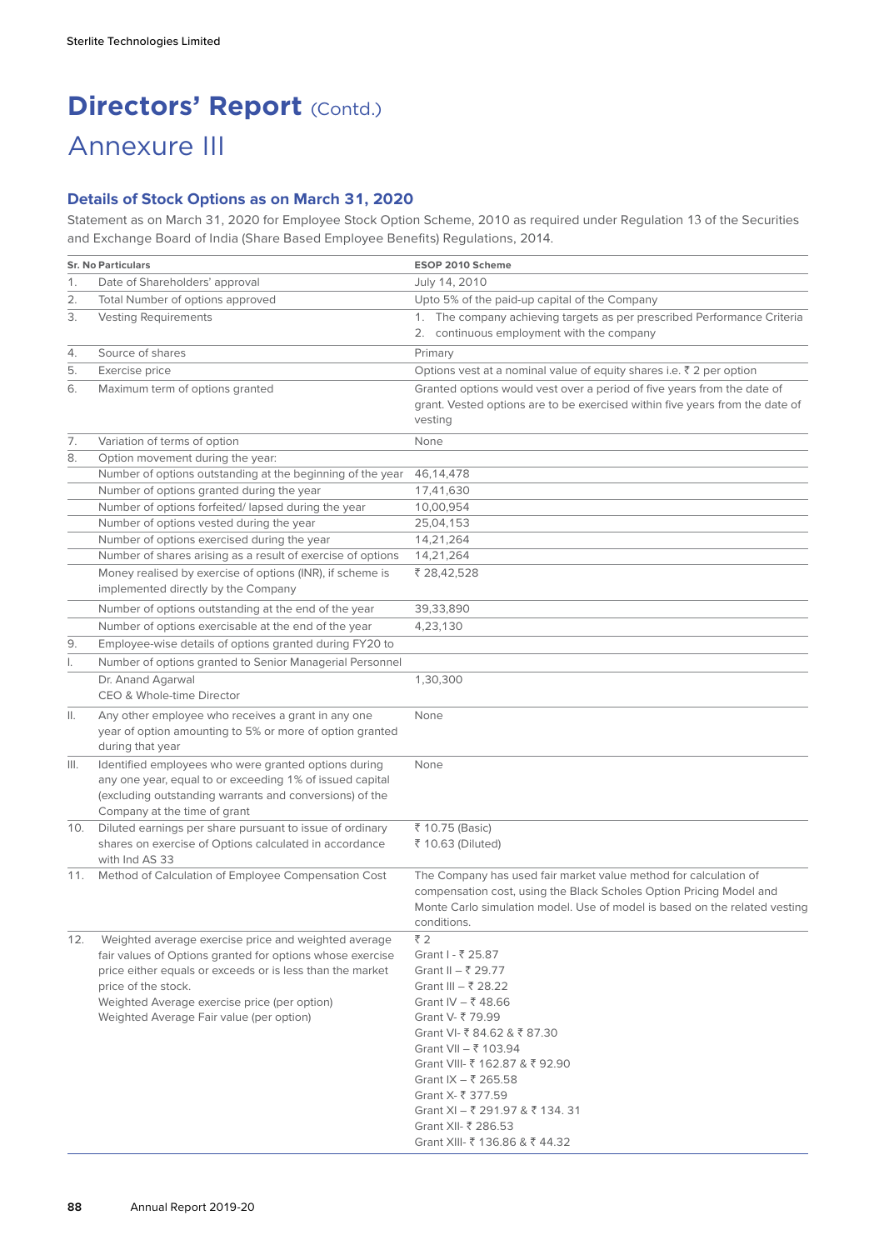# **Directors' Report (Contd.)** Annexure III

# **Details of Stock Options as on March 31, 2020**

Statement as on March 31, 2020 for Employee Stock Option Scheme, 2010 as required under Regulation 13 of the Securities and Exchange Board of India (Share Based Employee Benefits) Regulations, 2014.

|     | <b>Sr. No Particulars</b>                                                                                                                                                                                                                                                                         | ESOP 2010 Scheme                                                                                                                                                                                                                                                                                                                              |  |  |  |  |  |
|-----|---------------------------------------------------------------------------------------------------------------------------------------------------------------------------------------------------------------------------------------------------------------------------------------------------|-----------------------------------------------------------------------------------------------------------------------------------------------------------------------------------------------------------------------------------------------------------------------------------------------------------------------------------------------|--|--|--|--|--|
| 1.  | Date of Shareholders' approval                                                                                                                                                                                                                                                                    | July 14, 2010                                                                                                                                                                                                                                                                                                                                 |  |  |  |  |  |
| 2.  | Total Number of options approved                                                                                                                                                                                                                                                                  | Upto 5% of the paid-up capital of the Company                                                                                                                                                                                                                                                                                                 |  |  |  |  |  |
| 3.  | <b>Vesting Requirements</b>                                                                                                                                                                                                                                                                       | 1. The company achieving targets as per prescribed Performance Criteria                                                                                                                                                                                                                                                                       |  |  |  |  |  |
|     |                                                                                                                                                                                                                                                                                                   | 2. continuous employment with the company                                                                                                                                                                                                                                                                                                     |  |  |  |  |  |
| 4.  | Source of shares                                                                                                                                                                                                                                                                                  | Primary                                                                                                                                                                                                                                                                                                                                       |  |  |  |  |  |
| 5.  | Exercise price                                                                                                                                                                                                                                                                                    | Options vest at a nominal value of equity shares i.e. $\bar{z}$ 2 per option                                                                                                                                                                                                                                                                  |  |  |  |  |  |
| 6.  | Maximum term of options granted                                                                                                                                                                                                                                                                   | Granted options would vest over a period of five years from the date of<br>grant. Vested options are to be exercised within five years from the date of<br>vesting                                                                                                                                                                            |  |  |  |  |  |
| 7.  | Variation of terms of option                                                                                                                                                                                                                                                                      | None                                                                                                                                                                                                                                                                                                                                          |  |  |  |  |  |
| 8.  | Option movement during the year:                                                                                                                                                                                                                                                                  |                                                                                                                                                                                                                                                                                                                                               |  |  |  |  |  |
|     | Number of options outstanding at the beginning of the year                                                                                                                                                                                                                                        | 46, 14, 478                                                                                                                                                                                                                                                                                                                                   |  |  |  |  |  |
|     | Number of options granted during the year                                                                                                                                                                                                                                                         | 17,41,630                                                                                                                                                                                                                                                                                                                                     |  |  |  |  |  |
|     | Number of options forfeited/lapsed during the year                                                                                                                                                                                                                                                | 10,00,954                                                                                                                                                                                                                                                                                                                                     |  |  |  |  |  |
|     | Number of options vested during the year                                                                                                                                                                                                                                                          | 25,04,153                                                                                                                                                                                                                                                                                                                                     |  |  |  |  |  |
|     | Number of options exercised during the year                                                                                                                                                                                                                                                       | 14,21,264                                                                                                                                                                                                                                                                                                                                     |  |  |  |  |  |
|     | Number of shares arising as a result of exercise of options                                                                                                                                                                                                                                       | 14,21,264                                                                                                                                                                                                                                                                                                                                     |  |  |  |  |  |
|     | Money realised by exercise of options (INR), if scheme is<br>implemented directly by the Company                                                                                                                                                                                                  | ₹ 28,42,528                                                                                                                                                                                                                                                                                                                                   |  |  |  |  |  |
|     | Number of options outstanding at the end of the year                                                                                                                                                                                                                                              | 39,33,890                                                                                                                                                                                                                                                                                                                                     |  |  |  |  |  |
|     | Number of options exercisable at the end of the year                                                                                                                                                                                                                                              | 4,23,130                                                                                                                                                                                                                                                                                                                                      |  |  |  |  |  |
| 9.  | Employee-wise details of options granted during FY20 to                                                                                                                                                                                                                                           |                                                                                                                                                                                                                                                                                                                                               |  |  |  |  |  |
| I.  | Number of options granted to Senior Managerial Personnel                                                                                                                                                                                                                                          |                                                                                                                                                                                                                                                                                                                                               |  |  |  |  |  |
|     | Dr. Anand Agarwal<br>CEO & Whole-time Director                                                                                                                                                                                                                                                    | 1,30,300                                                                                                                                                                                                                                                                                                                                      |  |  |  |  |  |
| Ш.  | Any other employee who receives a grant in any one<br>year of option amounting to 5% or more of option granted<br>during that year                                                                                                                                                                | None                                                                                                                                                                                                                                                                                                                                          |  |  |  |  |  |
| Ш.  | Identified employees who were granted options during<br>any one year, equal to or exceeding 1% of issued capital<br>(excluding outstanding warrants and conversions) of the<br>Company at the time of grant                                                                                       | None                                                                                                                                                                                                                                                                                                                                          |  |  |  |  |  |
| 10. | Diluted earnings per share pursuant to issue of ordinary                                                                                                                                                                                                                                          | ₹ 10.75 (Basic)                                                                                                                                                                                                                                                                                                                               |  |  |  |  |  |
|     | shares on exercise of Options calculated in accordance<br>with Ind AS 33                                                                                                                                                                                                                          | ₹ 10.63 (Diluted)                                                                                                                                                                                                                                                                                                                             |  |  |  |  |  |
|     | 11. Method of Calculation of Employee Compensation Cost                                                                                                                                                                                                                                           | The Company has used fair market value method for calculation of<br>compensation cost, using the Black Scholes Option Pricing Model and<br>Monte Carlo simulation model. Use of model is based on the related vesting<br>conditions.                                                                                                          |  |  |  |  |  |
| 12. | Weighted average exercise price and weighted average<br>fair values of Options granted for options whose exercise<br>price either equals or exceeds or is less than the market<br>price of the stock.<br>Weighted Average exercise price (per option)<br>Weighted Average Fair value (per option) | ₹2<br>Grant I - ₹ 25.87<br>Grant II – ₹ 29.77<br>Grant III - ₹ 28.22<br>Grant IV – ₹48.66<br>Grant V- ₹ 79.99<br>Grant VI- ₹ 84.62 & ₹ 87.30<br>Grant VII – ₹ 103.94<br>Grant VIII- ₹ 162.87 & ₹ 92.90<br>Grant IX – ₹ 265.58<br>Grant X- ₹ 377.59<br>Grant XI - ₹ 291.97 & ₹ 134.31<br>Grant XII- ₹ 286.53<br>Grant XIII- ₹ 136.86 & ₹ 44.32 |  |  |  |  |  |